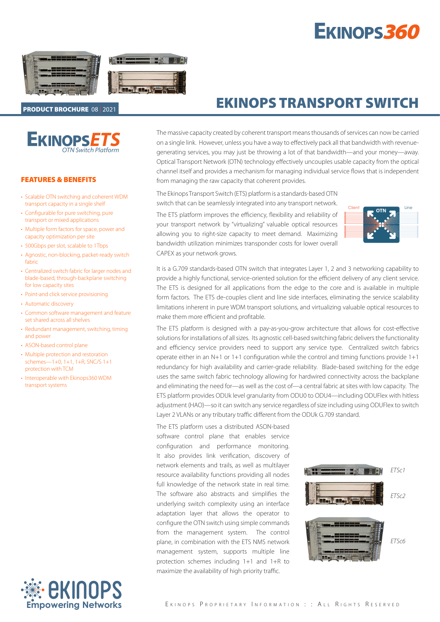# EKINOPS360



### PRODUCT BROCHURE 08 | 2021

*OTN Switch Platform* **EKINOPSE** 

#### FEATURES & BENEFITS

- Scalable OTN switching and coherent WDM transport capacity in a single shelf
- Configurable for pure switching, pure transport or mixed applications
- Multiple form factors for space, power and capacity optimization per site
- 500Gbps per slot, scalable to 1Tbps
- Agnostic, non-blocking, packet-ready switch fabric
- Centralized switch fabric for larger nodes and blade-based, through-backplane switching for low capacity sites
- Point-and click service provisioning
- Automatic discovery
- Common software management and feature set shared across all shelves
- Redundant management, switching, timing and power
- ASON-based control plane
- Multiple protection and restoration schemes—1+0, 1+1, 1+R, SNC/S 1+1 protection with TCM
- Interoperable with Ekinops360 WDM transport systems



# EKINOPS TRANSPORT SWITCH

The massive capacity created by coherent transport means thousands of services can now be carried on a single link. However, unless you have a way to effectively pack all that bandwidth with revenuegenerating services, you may just be throwing a lot of that bandwidth—and your money—away. Optical Transport Network (OTN) technology effectively uncouples usable capacity from the optical channel itself and provides a mechanism for managing individual service flows that is independent from managing the raw capacity that coherent provides.

The Ekinops Transport Switch (ETS) platform is a standards-based OTN switch that can be seamlessly integrated into any transport network.

The ETS platform improves the efficiency, flexibility and reliability of your transport network by "virtualizing" valuable optical resources allowing you to right-size capacity to meet demand. Maximizing bandwidth utilization minimizes transponder costs for lower overall CAPEX as your network grows.



It is a G.709 standards-based OTN switch that integrates Layer 1, 2 and 3 networking capability to provide a highly functional, service-oriented solution for the efficient delivery of any client service. The ETS is designed for all applications from the edge to the core and is available in multiple form factors. The ETS de-couples client and line side interfaces, eliminating the service scalability limitations inherent in pure WDM transport solutions, and virtualizing valuable optical resources to make them more efficient and profitable.

The ETS platform is designed with a pay-as-you-grow architecture that allows for cost-effective solutions for installations of all sizes. Its agnostic cell-based switching fabric delivers the functionality and efficiency service providers need to support any service type. Centralized switch fabrics operate either in an N+1 or 1+1 configuration while the control and timing functions provide 1+1 redundancy for high availability and carrier-grade reliability. Blade-based switching for the edge uses the same switch fabric technology allowing for hardwired connectivity across the backplane and eliminating the need for—as well as the cost of—a central fabric at sites with low capacity. The ETS platform provides ODUk level granularity from ODU0 to ODU4—including ODUFlex with hitless adjustment (HAO)—so it can switch any service regardless of size including using ODUFlex to switch Layer 2 VLANs or any tributary traffic different from the ODUk G.709 standard.

The ETS platform uses a distributed ASON-based software control plane that enables service configuration and performance monitoring. It also provides link verification, discovery of network elements and trails, as well as multilayer resource availability functions providing all nodes full knowledge of the network state in real time. The software also abstracts and simplifies the underlying switch complexity using an interface adaptation layer that allows the operator to configure the OTN switch using simple commands from the management system. The control plane, in combination with the ETS NMS network management system, supports multiple line protection schemes including 1+1 and 1+R to maximize the availability of high priority traffic.

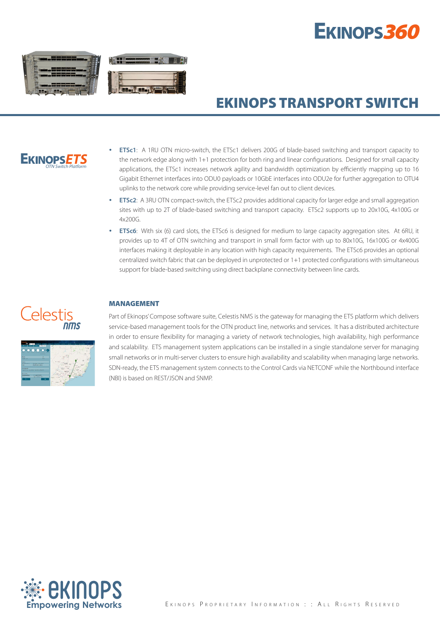# EKINOPS360



# EKINOPS TRANSPORT SWITCH



- **ETSc1**: A 1RU OTN micro-switch, the ETSc1 delivers 200G of blade-based switching and transport capacity to the network edge along with 1+1 protection for both ring and linear configurations. Designed for small capacity applications, the ETSc1 increases network agility and bandwidth optimization by efficiently mapping up to 16 Gigabit Ethernet interfaces into ODU0 payloads or 10GbE interfaces into ODU2e for further aggregation to OTU4 uplinks to the network core while providing service-level fan out to client devices.
- **ETSc2**: A 3RU OTN compact-switch, the ETSc2 provides additional capacity for larger edge and small aggregation sites with up to 2T of blade-based switching and transport capacity. ETSc2 supports up to 20x10G, 4x100G or 4x200G.
- **ETSc6**: With six (6) card slots, the ETSc6 is designed for medium to large capacity aggregation sites. At 6RU, it provides up to 4T of OTN switching and transport in small form factor with up to 80x10G, 16x100G or 4x400G interfaces making it deployable in any location with high capacity requirements. The ETSc6 provides an optional centralized switch fabric that can be deployed in unprotected or 1+1 protected configurations with simultaneous support for blade-based switching using direct backplane connectivity between line cards.

## <u>Celestis</u> nms



### MANAGEMENT

Part of Ekinops' Compose software suite, Celestis NMS is the gateway for managing the ETS platform which delivers service-based management tools for the OTN product line, networks and services. It has a distributed architecture in order to ensure flexibility for managing a variety of network technologies, high availability, high performance and scalability. ETS management system applications can be installed in a single standalone server for managing small networks or in multi-server clusters to ensure high availability and scalability when managing large networks. SDN-ready, the ETS management system connects to the Control Cards via NETCONF while the Northbound interface (NBI) is based on REST/JSON and SNMP.